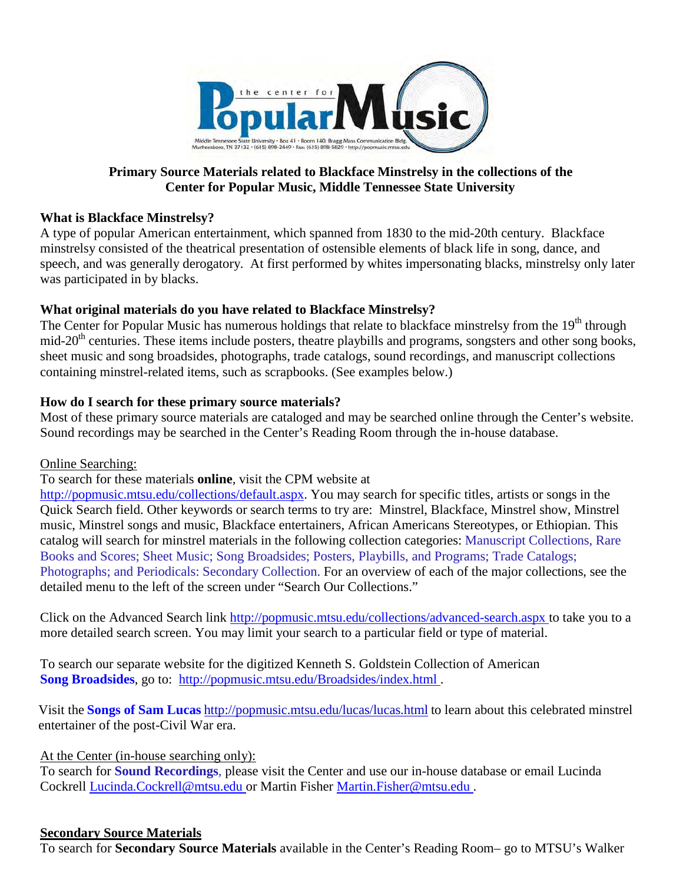

### **Primary Source Materials related to Blackface Minstrelsy in the collections of the Center for Popular Music, Middle Tennessee State University**

### **What is Blackface Minstrelsy?**

A type of popular American entertainment, which spanned from 1830 to the mid-20th century. Blackface minstrelsy consisted of the theatrical presentation of ostensible elements of black life in song, dance, and speech, and was generally derogatory. At first performed by whites impersonating blacks, minstrelsy only later was participated in by blacks.

### **What original materials do you have related to Blackface Minstrelsy?**

The Center for Popular Music has numerous holdings that relate to blackface minstrelsy from the 19<sup>th</sup> through mid-20<sup>th</sup> centuries. These items include posters, theatre playbills and programs, songsters and other song books, sheet music and song broadsides, photographs, trade catalogs, sound recordings, and manuscript collections containing minstrel-related items, such as scrapbooks. (See examples below.)

### **How do I search for these primary source materials?**

Most of these primary source materials are cataloged and may be searched online through the Center's website. Sound recordings may be searched in the Center's Reading Room through the in-house database.

### Online Searching:

### To search for these materials **online**, visit the CPM website at

[http://popmusic.mtsu.edu/collections/default.aspx.](http://popmusic.mtsu.edu/collections/default.aspx) You may search for specific titles, artists or songs in the Quick Search field. Other keywords or search terms to try are: Minstrel, Blackface, Minstrel show, Minstrel music, Minstrel songs and music, Blackface entertainers, African Americans Stereotypes, or Ethiopian. This catalog will search for minstrel materials in the following collection categories: Manuscript Collections, Rare Books and Scores; Sheet Music; Song Broadsides; Posters, Playbills, and Programs; Trade Catalogs; Photographs; and Periodicals: Secondary Collection. For an overview of each of the major collections, see the detailed menu to the left of the screen under "Search Our Collections."

Click on the Advanced Search link <http://popmusic.mtsu.edu/collections/advanced-search.aspx> to take you to a more detailed search screen. You may limit your search to a particular field or type of material.

To search our separate website for the digitized Kenneth S. Goldstein Collection of American **Song Broadsides**, go to: [http://popmusic.mtsu.edu/Broadsides/index.html .](http://popmusic.mtsu.edu/Broadsides/index.html)

Visit the **Songs of Sam Lucas** <http://popmusic.mtsu.edu/lucas/lucas.html> to learn about this celebrated minstrel entertainer of the post-Civil War era.

### At the Center (in-house searching only):

To search for **Sound Recordings**, please visit the Center and use our in-house database or email Lucinda Cockrell [Lucinda.Cockrell@mtsu.edu o](mailto:Lucinda.Cockrell@mtsu.edu)r Martin Fisher [Martin.Fisher@mtsu.edu .](mailto:Martin.Fisher@mtsu.edu)

#### **Secondary Source Materials**

To search for **Secondary Source Materials** available in the Center's Reading Room– go to MTSU's Walker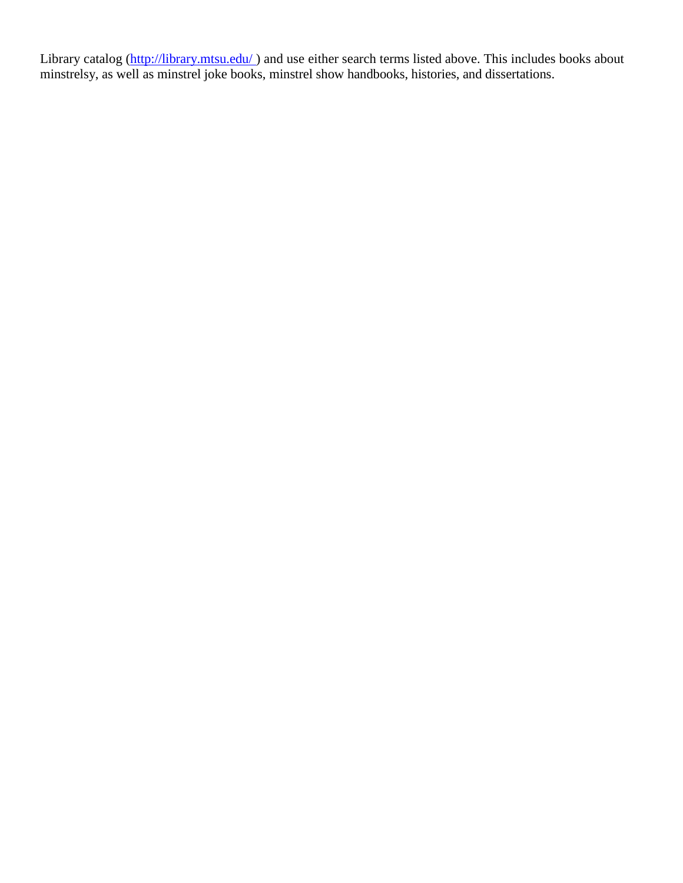Library catalog (*http://library.mtsu.edu/*) and use either search terms listed above. This includes books about minstrelsy, as well as minstrel joke books, minstrel show handbooks, histories, and dissertations.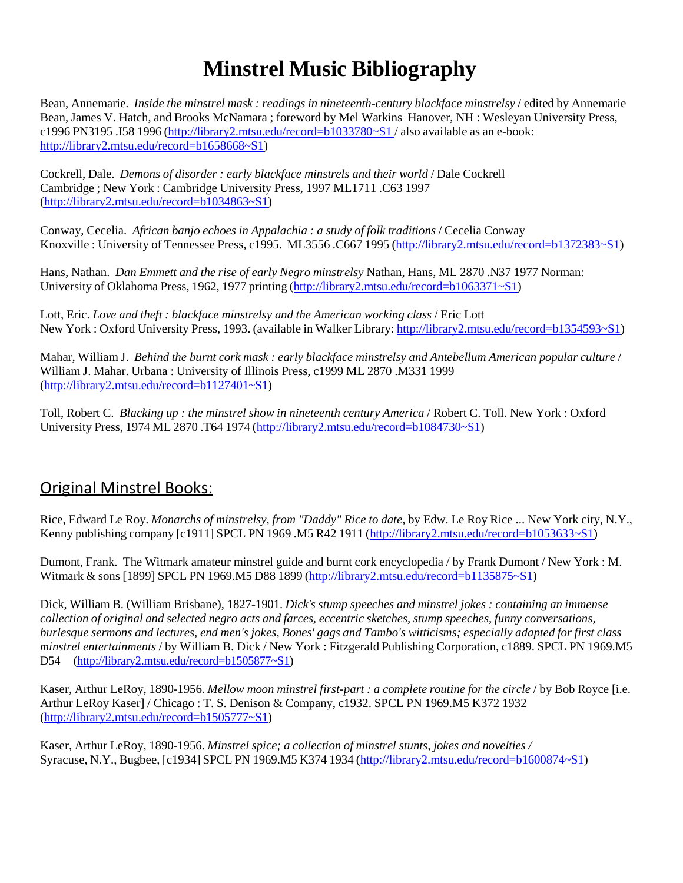## **Minstrel Music Bibliography**

Bean, Annemarie. *Inside the minstrel mask : readings in nineteenth-century blackface minstrelsy* / edited by Annemarie Bean, James V. Hatch, and Brooks McNamara ; foreword by Mel Watkins Hanover, NH : Wesleyan University Press, c1996 PN3195 .I58 1996 [\(http://library2.mtsu.edu/record=b1033780~S1](http://library2.mtsu.edu/record%3Db1033780%7ES1) / also available as an e-book: [http://library2.mtsu.edu/record=b1658668~S1\)](http://library2.mtsu.edu/record%3Db1658668%7ES1))

Cockrell, Dale. *Demons of disorder : early blackface minstrels and their world* / Dale Cockrell Cambridge ; New York : Cambridge University Press, 1997 ML1711 .C63 1997 [\(http://library2.mtsu.edu/record=b1034863~S1\)](http://library2.mtsu.edu/record%3Db1034863%7ES1))

Conway, Cecelia. *African banjo echoes in Appalachia : a study of folk traditions* / Cecelia Conway Knoxville : University of Tennessee Press, c1995. ML3556 .C667 1995 [\(http://library2.mtsu.edu/record=b1372383~S1\)](http://library2.mtsu.edu/record%3Db1372383%7ES1))

Hans, Nathan. *Dan Emmett and the rise of early Negro minstrelsy* Nathan, Hans, ML 2870 .N37 1977 Norman: University of Oklahoma Press, 1962, 1977 printing [\(http://library2.mtsu.edu/record=b1063371~S1\)](http://library2.mtsu.edu/record%3Db1063371%7ES1))

Lott, Eric. *Love and theft : blackface minstrelsy and the American working class* / Eric Lott New York : Oxford University Press, 1993. (available in Walker Library: [http://library2.mtsu.edu/record=b1354593~S1\)](http://library2.mtsu.edu/record%3Db1354593%7ES1))

Mahar, William J. *Behind the burnt cork mask : early blackface minstrelsy and Antebellum American popular culture* / William J. Mahar. Urbana : University of Illinois Press, c1999 ML 2870 .M331 1999 [\(http://library2.mtsu.edu/record=b1127401~S1\)](http://library2.mtsu.edu/record%3Db1127401%7ES1))

Toll, Robert C. *Blacking up : the minstrel show in nineteenth century America* / Robert C. Toll. New York : Oxford University Press, 1974 ML 2870 .T64 1974 [\(http://library2.mtsu.edu/record=b1084730~S1\)](http://library2.mtsu.edu/record%3Db1084730%7ES1))

### Original Minstrel Books:

Rice, Edward Le Roy. *Monarchs of minstrelsy, from "Daddy" Rice to date*, by Edw. Le Roy Rice ... New York city, N.Y., Kenny publishing company [c1911] SPCL PN 1969 .M5 R42 1911 [\(http://library2.mtsu.edu/record=b1053633~S1\)](http://library2.mtsu.edu/record%3Db1053633%7ES1))

Dumont, Frank. The Witmark amateur minstrel guide and burnt cork encyclopedia / by Frank Dumont / New York : M. Witmark & sons [1899] SPCL PN 1969.M5 D88 1899 [\(http://library2.mtsu.edu/record=b1135875~S1\)](http://library2.mtsu.edu/record%3Db1135875%7ES1))

Dick, William B. (William Brisbane), 1827-1901. *Dick's stump speeches and minstrel jokes : containing an immense collection of original and selected negro acts and farces, eccentric sketches, stump speeches, funny conversations,* burlesque sermons and lectures, end men's jokes, Bones' gags and Tambo's witticisms; especially adapted for first class *minstrel entertainments* / by William B. Dick / New York : Fitzgerald Publishing Corporation, c1889. SPCL PN 1969.M5 D54 [\(http://library2.mtsu.edu/record=b1505877~S1\)](http://library2.mtsu.edu/record%3Db1505877%7ES1))

Kaser, Arthur LeRoy, 1890-1956. *Mellow moon minstrel first-part : a complete routine for the circle* / by Bob Royce [i.e. Arthur LeRoy Kaser] / Chicago : T. S. Denison & Company, c1932. SPCL PN 1969.M5 K372 1932 [\(http://library2.mtsu.edu/record=b1505777~S1\)](http://library2.mtsu.edu/record%3Db1505777%7ES1))

Kaser, Arthur LeRoy, 1890-1956. *Minstrel spice; a collection of minstrel stunts, jokes and novelties /* Syracuse, N.Y., Bugbee, [c1934] SPCL PN 1969.M5 K374 1934 [\(http://library2.mtsu.edu/record=b1600874~S1\)](http://library2.mtsu.edu/record%3Db1600874%7ES1))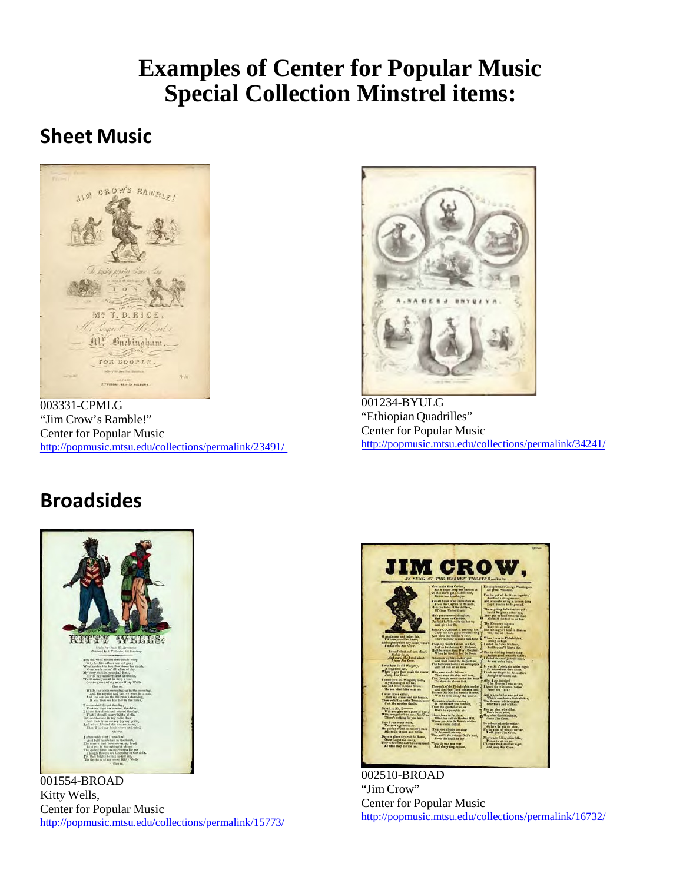# **Examples of Center for Popular Music Special Collection Minstrel items:**

### **Sheet Music**



003331-CPMLG "Jim Crow's Ramble!" Center for Popular Music <http://popmusic.mtsu.edu/collections/permalink/23491/>



001234-BYULG "Ethiopian Quadrilles" Center for Popular Music <http://popmusic.mtsu.edu/collections/permalink/34241/>

## **Broadsides**



001554-BROAD Kitty Wells, Center for Popular Music <http://popmusic.mtsu.edu/collections/permalink/15773/>



002510-BROAD "Jim Crow" Center for Popular Music <http://popmusic.mtsu.edu/collections/permalink/16732/>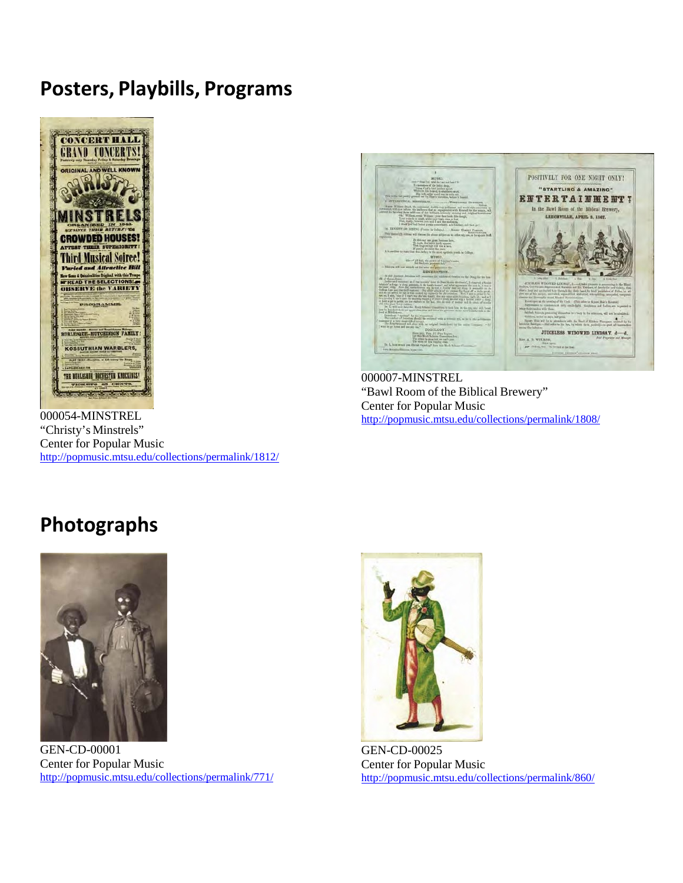### **Posters, Playbills, Programs**



000054-MINSTREL "Christy's Minstrels" Center for Popular Music <http://popmusic.mtsu.edu/collections/permalink/1812/>



000007-MINSTREL "Bawl Room of the Biblical Brewery" Center for Popular Music <http://popmusic.mtsu.edu/collections/permalink/1808/>

## **Photographs**



GEN-CD-00001 Center for Popular Music <http://popmusic.mtsu.edu/collections/permalink/771/>



GEN-CD-00025 Center for Popular Music <http://popmusic.mtsu.edu/collections/permalink/860/>